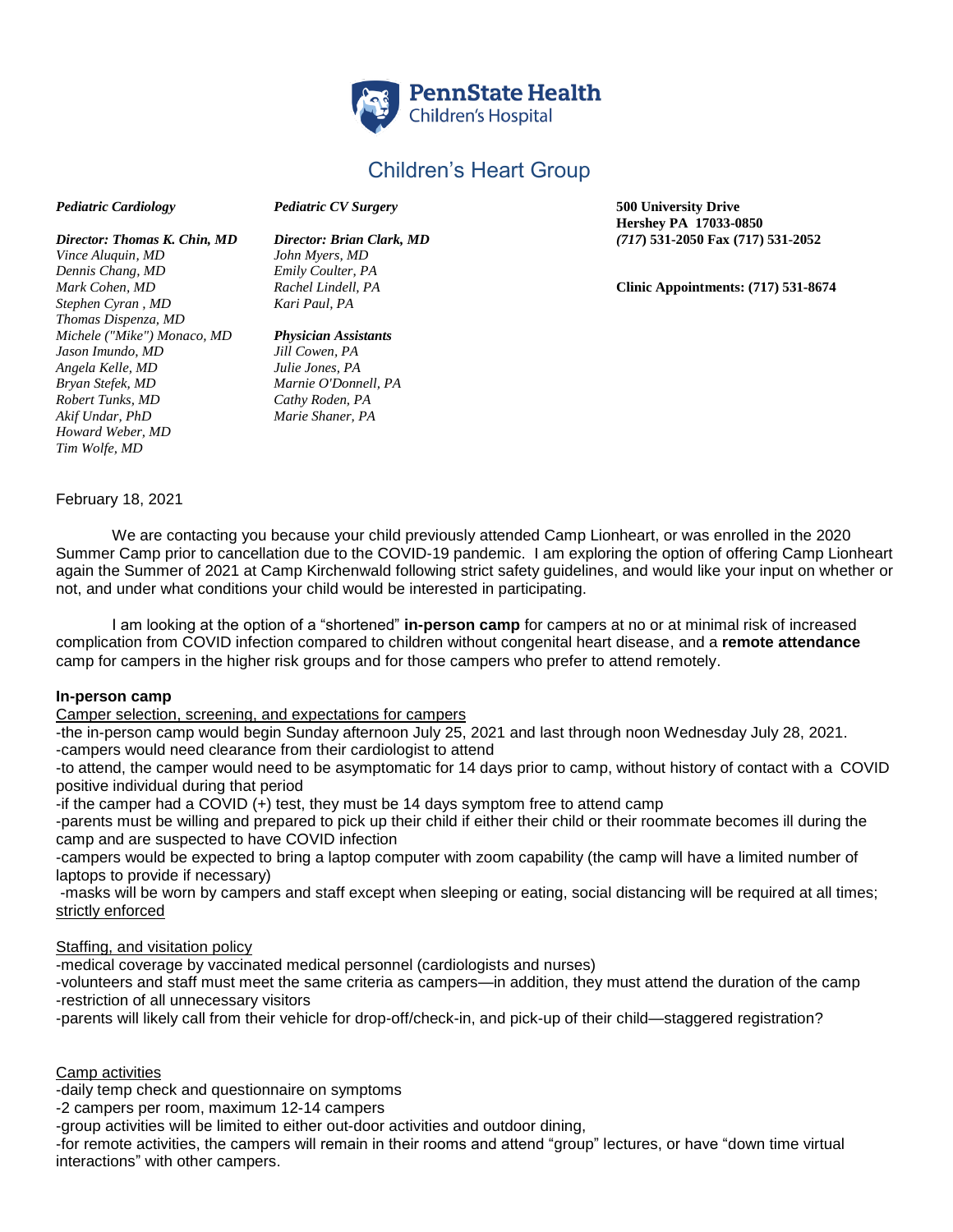

# Children's Heart Group

#### *Pediatric Cardiology Pediatric CV Surgery* **500 University Drive**

*Vince Aluquin, MD John Myers, MD Dennis Chang, MD Emily Coulter, PA Stephen Cyran , MD Kari Paul, PA Thomas Dispenza, MD Michele ("Mike") Monaco, MD Physician Assistants Jason Imundo, MD Jill Cowen, PA Angela Kelle, MD Julie Jones, PA Bryan Stefek, MD Marnie O'Donnell, PA Robert Tunks, MD Cathy Roden, PA Akif Undar, PhD Marie Shaner, PA Howard Weber, MD Tim Wolfe, MD* 

**Hershey PA 17033-0850** *Director: Thomas K. Chin, MD Director: Brian Clark, MD (717***) 531-2050 Fax (717) 531-2052**

*Mark Cohen, MD Rachel Lindell, PA* **Clinic Appointments: (717) 531-8674**

## February 18, 2021

We are contacting you because your child previously attended Camp Lionheart, or was enrolled in the 2020 Summer Camp prior to cancellation due to the COVID-19 pandemic. I am exploring the option of offering Camp Lionheart again the Summer of 2021 at Camp Kirchenwald following strict safety guidelines, and would like your input on whether or not, and under what conditions your child would be interested in participating.

I am looking at the option of a "shortened" **in-person camp** for campers at no or at minimal risk of increased complication from COVID infection compared to children without congenital heart disease, and a **remote attendance** camp for campers in the higher risk groups and for those campers who prefer to attend remotely.

## **In-person camp**

Camper selection, screening, and expectations for campers

-the in-person camp would begin Sunday afternoon July 25, 2021 and last through noon Wednesday July 28, 2021. -campers would need clearance from their cardiologist to attend

-to attend, the camper would need to be asymptomatic for 14 days prior to camp, without history of contact with a COVID positive individual during that period

-if the camper had a COVID (+) test, they must be 14 days symptom free to attend camp

-parents must be willing and prepared to pick up their child if either their child or their roommate becomes ill during the camp and are suspected to have COVID infection

-campers would be expected to bring a laptop computer with zoom capability (the camp will have a limited number of laptops to provide if necessary)

-masks will be worn by campers and staff except when sleeping or eating, social distancing will be required at all times; strictly enforced

## Staffing, and visitation policy

-medical coverage by vaccinated medical personnel (cardiologists and nurses)

-volunteers and staff must meet the same criteria as campers—in addition, they must attend the duration of the camp -restriction of all unnecessary visitors

-parents will likely call from their vehicle for drop-off/check-in, and pick-up of their child—staggered registration?

#### Camp activities

-daily temp check and questionnaire on symptoms

-2 campers per room, maximum 12-14 campers

-group activities will be limited to either out-door activities and outdoor dining,

-for remote activities, the campers will remain in their rooms and attend "group" lectures, or have "down time virtual interactions" with other campers.